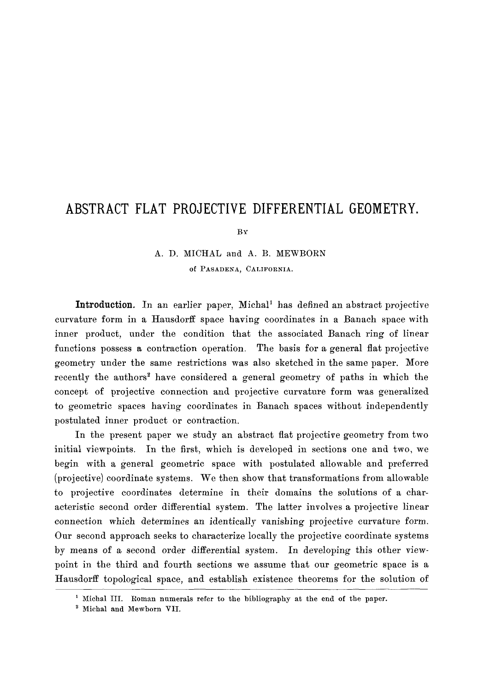# **ABSTRACT FLAT PROJECTIVE DIFFERENTIAL GEOMETRY.**

By

# A. D. MICHAL and A. B. MEWBORN Of PASADENA, CALIFORNIA.

**Introduction.** In an earlier paper, Michal<sup>1</sup> has defined an abstract projective curvature form in a Hausdorff space having coordinates in a Banach space with inner product, under the condition that the associated Banach ring of linear functions possess a contraction operation. The basis for a general flat projective geometry under the same restrictions was also sketched in the same paper. More recently the authors<sup>2</sup> have considered a general geometry of paths in which the concept of projective connection and projective curvature form was generalized to geometric spaces having coordinates in Banach spaces without independently postulated inner product or contraction.

In the present paper we study an abstract flat projective geometry from two initial viewpoints. In the first, which is developed in sections one and two, we begin with a general geometric space with postulated allowable and preferred (projective) coordinate systems. We then show that transformations from allowable to projective coordinates determine in their domains the solutions of a characteristic second order differential system. The latter involves a projective linear connection which determines an identically vanishing projective curvature form. Our second approach seeks to characterize locally the projective coordinate systems by means of a second order differential system. In developing this other viewpoint in the third and fourth sections we assume that our geometric space is a Hausdorff topological space, and establish existence theorems for the solution of

<sup>&</sup>lt;sup>1</sup> Michal III. Roman numerals refer to the bibliography at the end of the paper.

<sup>&</sup>lt;sup>2</sup> Michal and Mewborn VII.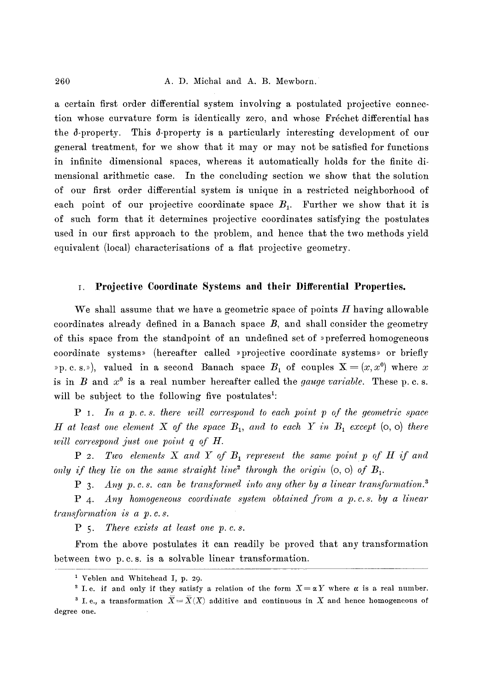a certain first order differential system involving a postulated projective connection whose curvature form is identically zero, and whose Fréchet differential has the  $\delta$ -property. This  $\delta$ -property is a particularly interesting development of our general treatment, for we show that it may or may not be satisfied for functions in infinite dimensional spaces, whereas it automatically holds for the finite dimensional arithmetic case. In the concluding section we show that the solution of our first order differential system is unique in a restricted neighborhood of each point of our projective coordinate space  $B_1$ . Further we show that it is of such form that it determines projective coordinates satisfying the postulates used in our first approach to the problem, and hence that the two methods yield equivalent (local) characterisations of a flat projective geometry.

#### **i. Projective Coordinate Systems and their Differential Properties.**

We shall assume that we have a geometric space of points  $H$  having allowable coordinates already defined in a Banach space  $B$ , and shall consider the geometry of this space from the standpoint of an undefined set of >>preferred homogeneous coordinate systems>> (hereafter called >>projective coordinate systems>> or briefly »p. c. s.»), valued in a second Banach space  $B_1$  of couples  $X = (x, x^0)$  where x is in  $B$  and  $x^0$  is a real number hereafter called the *gauge variable*. These p. c. s. will be subject to the following five postulates<sup>1</sup>:

*P I. In a p. c. s. there will correspond to each point p of the geometric space H* at least one element X of the space  $B_1$ , and to each Y in  $B_1$  except  $(o, o)$  there *will correspond just one point q of H.* 

*P 2. Two elements X and Y of B<sub>1</sub> represent the same point p of H if and only if they lie on the same straight line*<sup>2</sup> through the origin  $(o, o)$  of  $B_1$ .

*P* 3. Any p.c.s. can be transformed into any other by a linear transformation.<sup>3</sup>

*P 4. Any homogeneous coordinate system obtained from a p.c.s, by a linear transformation is a p. c. s.* 

*P 5. There exists at least one p. c. s.* 

From the above postulates it can readily be proved that any transformation between two p. c. s. is a solvable linear transformation.

<sup>&</sup>lt;sup>1</sup> Veblen and Whitehead I, p. 29.

<sup>&</sup>lt;sup>2</sup> I.e. if and only if they satisfy a relation of the form  $X = \alpha Y$  where  $\alpha$  is a real number. <sup>3</sup> I. e., a transformation  $\overline{X} = \overline{X}(X)$  additive and continuous in X and hence homogeneous of degree one.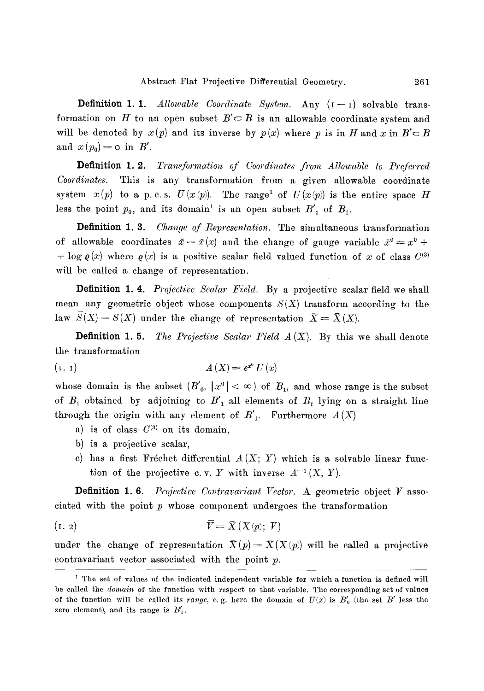**Definition 1. 1.** *Allowable Coordinate System.* Any  $(I - I)$  solvable transformation on H to an open subset  $B' \subset B$  is an allowable coordinate system and will be denoted by  $x(p)$  and its inverse by  $p(x)$  where p is in H and x in  $B' \subset B$ and  $x(p_0) = o$  in  $B'$ .

**Definition 1.2.** *Transformation of Coordinates from Allowable to Preferred Coordinates.* This is any transformation from a given allowable coordinate system  $x(p)$  to a p.c.s.  $U(x(p))$ . The range<sup>1</sup> of  $U(x(p))$  is the entire space H less the point  $p_0$ , and its domain<sup>1</sup> is an open subset  $B'_1$  of  $B_1$ .

Definition 1.3. *Change of Representation.* The simultaneous transformation of allowable coordinates  $\bar{x} = \bar{x}(x)$  and the change of gauge variable  $\bar{x}^0 = x^0 + x^0$ + log  $\varrho(x)$  where  $\varrho(x)$  is a positive scalar field valued function of x of class  $C^{(3)}$ will be called a change of representation.

Definition 1.4. *Projective Scalar Field.* By a projective scalar field we shall mean any geometric object whose components  $S(X)$  transform according to the law  $S(\bar{X}) = S(X)$  under the change of representation  $\bar{X} = \bar{X}(X)$ .

**Definition 1.5.** *The Projective Scalar Field*  $A(X)$ *.* By this we shall denote the transformation

$$
(1. 1) \t\t A(X) = e^{x^0} U(x)
$$

whose domain is the subset  $(B'_{0}, |x^{0}| < \infty)$  of  $B_{1}$ , and whose range is the subset of  $B_1$  obtained by adjoining to  $B'_1$  all elements of  $B_1$  lying on a straight line through the origin with any element of  $B'_{1}$ . Furthermore  $A(X)$ 

- a) is of class  $C^{(3)}$  on its domain,
- b) is a projective scalar,
- c) has a first Fréchet differential  $A(X; Y)$  which is a solvable linear function of the projective c.v. Y with inverse  $A^{-1}(X, Y)$ .

Definition 1.6. *Projective Contravariant Vector.* A geometric object V associated with the point  $p$  whose component undergoes the transformation

$$
\overline{V} = \overline{X}(X(p); V)
$$

under the change of representation  $\bar{X}(p) = \bar{X}(X(p))$  will be called a projective contravariant vector associated with the point  $p$ .

<sup>&</sup>lt;sup>1</sup> The set of values of the indicated independent variable for which a function is defined will be called the *domain* of the function with respect to that variable. The corresponding set of values of the function will be called its *range*, e.g. here the domain of  $U(x)$  is  $B'_0$  (the set B' less the zero element), and its range is  $B'_1$ .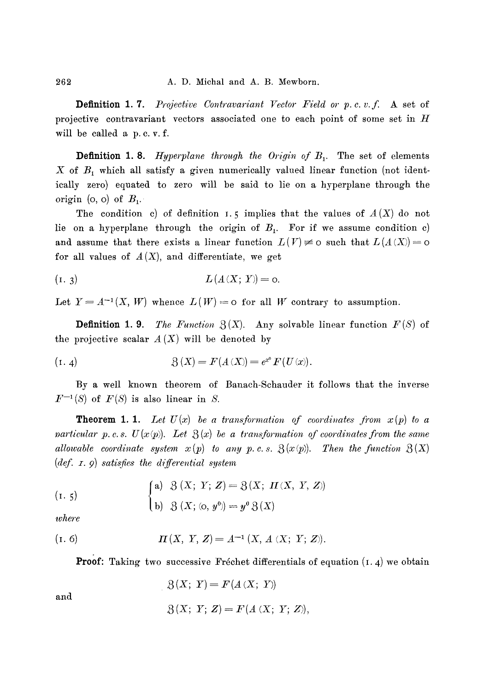Definition 1.7. *Projective Contravariant Vector Field* or p. c.v.f. A set of projective contravariant vectors associated one to each point of some set in  $H$ will be called a p.c.v.f.

**Definition 1.8.** *Hyperplane through the Origin of B<sub>1</sub>.* The set of elements X of  $B_1$  which all satisfy a given numerically valued linear function (not identically zero) equated to zero will be said to lie on a hyperplane through the origin (o, o) of  $B_1$ .

The condition c) of definition 1.5 implies that the values of  $A(X)$  do not lie on a hyperplane through the origin of  $B_{1}$ . For if we assume condition c) and assume that there exists a linear function  $L(V) \neq 0$  such that  $L(A(X)) = 0$ for all values of  $A(X)$ , and differentiate, we get

(1. 3) 
$$
L(A(X; Y)) = 0.
$$

Let  $Y = A^{-1}(X, W)$  whence  $L(W) = o$  for all W contrary to assumption.

**Definition 1.9.** *The Function*  $\mathfrak{Z}(X)$ . Any solvable linear function  $F(S)$  of the projective scalar  $A(X)$  will be denoted by

(1. 4) 
$$
\mathcal{B}(X) = F(A(X)) = e^{x^0} F(U(x)).
$$

By a well known theorem of Banach-Schauder it follows that the inverse  $F^{-1}(S)$  of  $F(S)$  is also linear in S.

**Theorem 1. 1.** Let  $U(x)$  be a transformation of coordinates from  $x(p)$  to a *narticular p.c.s.*  $U(x(p))$ . Let  $\mathcal{B}(x)$  be a transformation of coordinates from the same *allowable coordinate system*  $x(p)$  *to any p. c. s.*  $\mathfrak{Z}(x(p))$ . Then the function  $\mathfrak{Z}(X)$ *(def. z. 9) satisfies the differential system* 

(1. 5)  
\n(a) 
$$
\mathcal{B}(X; Y; Z) = \mathcal{B}(X; H(X, Y, Z))
$$
  
\n(b)  $\mathcal{B}(X; (0, y^0)) = y^0 \mathcal{B}(X)$ 

*where* 

(1. 6) 
$$
\Pi(X, Y, Z) = A^{-1}(X, A(X; Y; Z)).
$$

**Proof:** Taking two successive Fréchet differentials of equation  $(1.4)$  we obtain

and

$$
\mathcal{B}(X; Y) = F(A(X; Y))
$$

$$
\mathfrak{Z}(X; Y; Z) = F(A(X; Y; Z)),
$$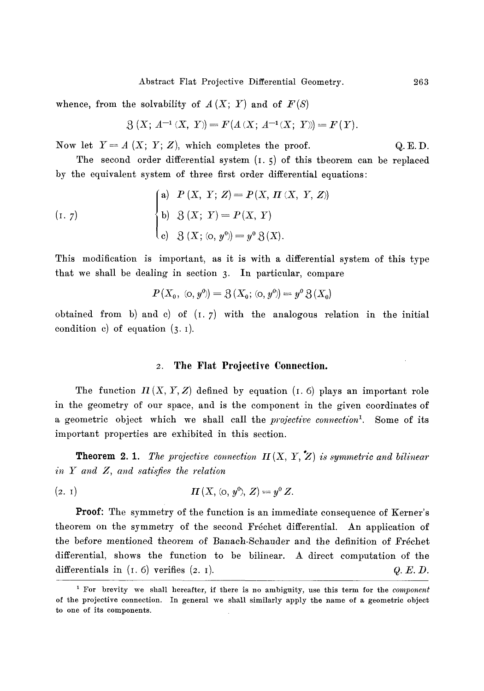whence, from the solvability of  $A(X; Y)$  and of  $F(S)$ 

$$
\mathfrak{Z}\,(X;\,A^{-1}\,(X,\;Y)\!)=F(A\,(X;\,A^{-1}(X;\;Y)\!)\!=\!F(Y).
$$

Now let  $Y = A(X; Y; Z)$ , which completes the proof. Q.E.D.

The second order differential system  $(1, 5)$  of this tbeorem can be replaced by the equivalent system of three first order differential equations:

$$
\begin{cases}\n\text{a)} & P(X, Y; Z) = P(X, \Pi(X, Y, Z)) \\
\text{b)} & 3(X; Y) = P(X, Y) \\
\text{c)} & 3(X; \langle \text{o}, y^0 \rangle = y^0 \, 3(X).\n\end{cases}
$$

This modification is important, as it is with a differential system of this type that we shall be dealing in section 3. In particular, compare

$$
P(X_0, (0, y^0)) = \mathfrak{Z}(X_0; (0, y^0)) = y^0 \mathfrak{Z}(X_0)
$$

obtained from b) and c) of  $(1, 7)$  with the analogous relation in the initial condition c) of equation  $(3.1)$ .

#### **2 The Flat Projective Connection.**

The function  $H(X, Y, Z)$  defined by equation (1.6) plays an important role in the geometry of our space, and is the component in the given coordinates of a geometric object which we shall call the *projective connection*<sup>1</sup>. Some of its important properties are exhibited in this section.

**Theorem 2.1.** *The projective connection*  $H(X, Y, Z)$  is symmetric and bilinear *in Y and Z, and satisfies the relation* 

(2. 1) 
$$
\mathbf{\Pi}(X, \langle 0, y^0 \rangle, Z) = y^0 Z.
$$

Proof: The symmetry of the function is an immediate consequence of Kerner's theorem on the symmetry of the second Fréchet differential. An application of the before mentioned theorem of Banach-Schauder and the definition of Fréchet differential, shows the function to be bilinear. A direct computation of the differentials in  $(1.6)$  verifies  $(2. 1)$ .  $Q. E. D$ .

<sup>&</sup>lt;sup>1</sup> For brevity we shall hereafter, if there is no ambiguity, use this term for the *component* of the projective connection. In general we shall similarly apply the name of a geometric object to one of its components.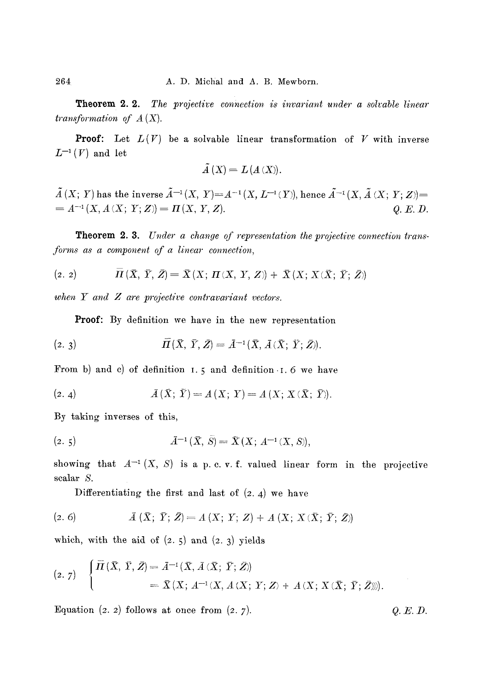Theorem 2.2. *The projective connection is invariant under a solvable linear transformation of A (X).* 

**Proof:** Let  $L(V)$  be a solvable linear transformation of V with inverse  $L^{-1}(V)$  and let

$$
\tilde{A}(X) = L(A(X)).
$$

 $\tilde{A}(X; Y)$  has the inverse  $\tilde{A}^{-1}(X, Y)=A^{-1}(X, L^{-1}(Y))$ , hence  $\tilde{A}^{-1}(X, \tilde{A}(X; Y; Z))=$  $= A^{-1}(X, A(X; Y; Z)) = \mathbf{\Pi}(X, Y, Z).$ *Q.E.D.* 

Theorem 2.3. *Under a change of representation the projective connection trans forms as a component of a linear connection,* 

$$
(2. 2) \qquad \qquad \overline{H}(\overline{X}, \overline{Y}, \overline{Z}) = \overline{X}(X; H(X, Y, Z)) + \overline{X}(X; X(\overline{X}; \overline{Y}; \overline{Z}))
$$

 $when$   $Y$  and  $Z$  are projective contravariant vectors.

Proof: By definition we have in the new representation

$$
(2. 3) \qquad \qquad \overline{H}(\overline{X}, \overline{Y}, \overline{Z}) = \overline{A}^{-1}(\overline{X}, \overline{A}(\overline{X}; \overline{Y}; \overline{Z})).
$$

From b) and c) of definition  $I.5$  and definition  $I.6$  we have

(2. 4) 
$$
\bar{A}(\bar{X}; \bar{Y}) = A(X; Y) = A(X; X(\bar{X}; \bar{Y})).
$$

By taking inverses of this,

(2. 5) 3\_ -1 (X, S)= 2~(X; A -~ (X, S)),

showing that  $A^{-1}(X, S)$  is a p. c. v. f. valued linear form in the projective scalar S.

Differentiating the first and last of  $(2, 4)$  we have

$$
(2. 6) \qquad \qquad \bar{A}(\bar{X}; \ \bar{Y}; \ \bar{Z}) = A(X; \ Y; \ Z) + A(X; \ X(\bar{X}; \ \bar{Y}; \ \bar{Z}))
$$

which, with the aid of  $(2.5)$  and  $(2.3)$  yields

$$
(2.7) \begin{cases} \bar{\Pi}(\bar{X}, \bar{Y}, \bar{Z}) = \bar{A}^{-1}(\bar{X}, \bar{A}(\bar{X}; \bar{Y}; \bar{Z})) \\ = \bar{X}(X; A^{-1}(X, A(X; Y; Z) + A(X; X(\bar{X}; \bar{Y}; \bar{Z}))). \end{cases}
$$

Equation (2. 2) follows at once from  $(2. 7)$ .  $Q.E.D.$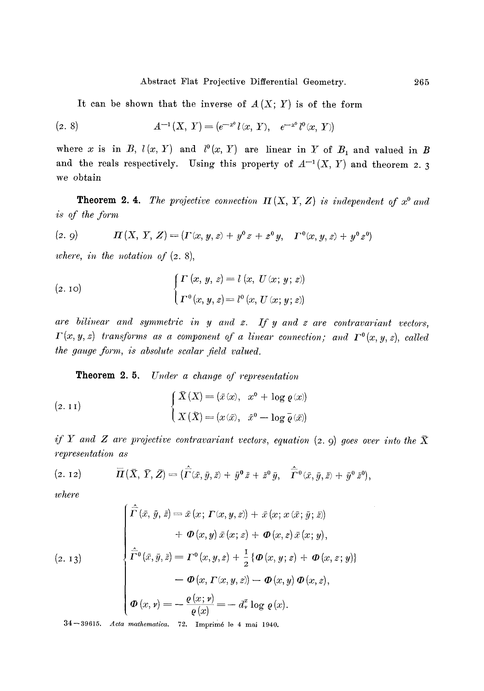It can be shown that the inverse of  $A(X; Y)$  is of the form

(2. 8) 
$$
A^{-1}(X, Y) = (e^{-x^0}l(x, Y), e^{-x^0}l^0(x, Y))
$$

where x is in *B*,  $l(x, Y)$  and  $l^0(x, Y)$  are linear in Y of  $B_1$  and valued in B and the reals respectively. Using this property of  $A^{-1}(X, Y)$  and theorem 2. 3 we obtain

**Theorem 2.4.** *The projective connection*  $\Pi(X, Y, Z)$  is independent of  $x^0$  and *is of the form* 

(2.9) *H(X,Y,Z)=(F(x,y,z)+y~176 F~176 ~* 

*where, in the notation of* (2. 8),

(2. 10)  

$$
\begin{cases}\n\Gamma(x, y, z) = l(x, U(x; y; z)) \\
\Gamma^{0}(x, y, z) = l^{0}(x, U(x; y; z))\n\end{cases}
$$

*are bilinear and symmetric in y and z. If y and z are contravariant vectors,*   $\Gamma(x, y, z)$  transforms as a component of a linear connection; and  $\Gamma^{0}(x, y, z)$ , called *the gauge form, is absolute scalar field valued.* 

Theorem 2.5. *Under a change of representation* 

(2. 11)  

$$
\begin{cases} \overline{X}(X) = (\bar{x}(x), x^0 + \log \varrho(x)) \\ X(\overline{X}) = (x(\bar{x}), \bar{x}^0 - \log \overline{\varrho}(\bar{x})) \end{cases}
$$

*if*  $Y$  and  $Z$  are projective contravariant vectors, equation  $(z, 9)$  goes over into the  $\bar{X}$ *representation as* 

$$
(2. 12) \qquad \overline{H}(\overline{X}, \overline{Y}, \overline{Z}) = (\hat{\overline{\Gamma}}(\overline{x}, \overline{y}, \overline{z}) + \overline{y}^{0} \overline{z} + \overline{z}^{0} \overline{y}, \quad \hat{\overline{\Gamma}}^{0}(\overline{x}, \overline{y}, \overline{z}) + \overline{y}^{0} \overline{z}^{0}),
$$

*where* 

$$
(2. 13)
$$
\n
$$
\begin{cases}\n\hat{\Gamma}(\bar{x}, \bar{y}, \bar{z}) = \bar{x}(x; \Gamma(x, y, z)) + \bar{x}(x; x(\bar{x}; \bar{y}; \bar{z})) \\
+ \Phi(x, y) \bar{x}(x; z) + \Phi(x, z) \bar{x}(x; y), \\
\hat{\Gamma}^0(\bar{x}, \bar{y}, \bar{z}) = \Gamma^0(x, y, z) + \frac{1}{2} \{ \Phi(x, y; z) + \Phi(x, z; y) \} \\
- \Phi(x, \Gamma(x, y, z)) - \Phi(x, y) \Phi(x, z), \\
\Phi(x, y) = -\frac{\varrho(x; y)}{\varrho(x)} = -d_x^x \log \varrho(x).\n\end{cases}
$$

34--39615. *Acta mathematica.* 72. Imprim6 le 4 mai 1940.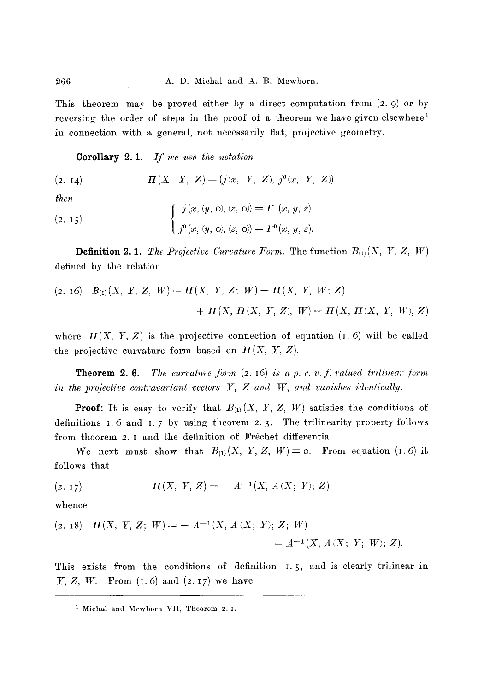This theorem may be proved either by a direct computation from  $(2, 9)$  or by reversing the order of steps in the proof of a theorem we have given elsewhere<sup>1</sup> in connection with a general, not necessarily flat, projective geometry.

**Corollary 2.1.**  *If we use the notation* 

 $(2. 14)$  $\Pi(X, Y, Z) = (j(x, Y, Z), j^{\theta}(x, Y, Z))$ 

*then* 

(2. 15)  

$$
\begin{cases} j(x, (y, 0), (z, 0)) = \Gamma(x, y, z) \\ j^{0}(x, (y, 0), (z, 0)) = \Gamma^{0}(x, y, z). \end{cases}
$$

**Definition 2.1.** The Projective Curvature Form. The function  $B_{(1)}(X, Y, Z, W)$ defined by the relation

$$
(2. 16) B_{(1)}(X, Y, Z, W) = \Pi(X, Y, Z; W) - \Pi(X, Y, W; Z) + \Pi(X, \Pi(X, Y, Z), W) - \Pi(X, \Pi(X, Y, W), Z)
$$

where  $H(X, Y, Z)$  is the projective connection of equation  $(1, 6)$  will be called the projective curvature form based on  $\mathcal{I}(X, Y, Z)$ .

**Theorem 2.6.** *The curvature form*  $(2.16)$  *is a p. c. v. f. valued trilinear form in the projective contravariant vectors Y, Z and W, and vanishes identically.* 

**Proof:** It is easy to verify that  $B_{(1)}(X, Y, Z, W)$  satisfies the conditions of definitions 1.6 and 1.7 by using theorem 2.3. The trilinearity property follows from theorem 2.1 and the definition of Fréchet differential.

We next must show that  $B_{(1)}(X, Y, Z, W) = 0$ . From equation (I.6) it follows that

(2. 17) 
$$
\Pi(X, Y, Z) = -A^{-1}(X, A(X; Y); Z)
$$

whence

 $\sim$   $\sim$ 

$$
\begin{aligned} \text{(2. 18)} \quad & \Pi(X, \ Y, \ Z; \ W) = - \ A^{-1}(X, \ A \ (X; \ Y); \ Z; \ W) \\ & \quad - \ A^{-1}(X, \ A \ (X; \ Y; \ W); \ Z). \end{aligned}
$$

This exists from the conditions of definition I. 5, and is clearly trilinear in  $Y, Z, W$ . From  $(I.6)$  and  $(z. 17)$  we have

<sup>1</sup> Michal and Mewborn VII, Theorem 2. I.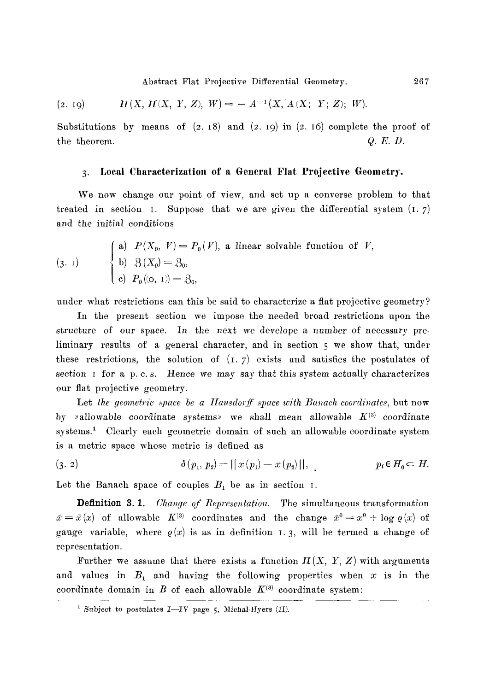Abstract Flat Projective Differential Geometry. 267

$$
(2. 19) \t\t \t\t \t\t \mathbf{I}(X, \mathbf{I}(X, Y, Z), W) = - A^{-1}(X, A(X, Y, Z); W).
$$

Substitutions by means of  $(2. 18)$  and  $(2. 19)$  in  $(2. 16)$  complete the proof of the theorem.  $Q. E. D.$ 

## 3. Local Characterization of a General Flat Projective Geometry.

We now change our point of view, and set up a converse problem to that treated in section I. Suppose that we are given the differential system  $(I, 7)$ and the initial conditions

(3. 1)  
\n
$$
\begin{cases}\n\text{a) } P(X_0, V) = P_0(V), \text{ a linear solvable function of } V, \\
\text{b) } \beta(X_0) = \beta_0, \\
\text{c) } P_0((0, 1)) = \beta_0,\n\end{cases}
$$

under what restrictions can this be said to characterize a flat projective geometry?

In the present section we impose the needed broad restrictions upon the structure of our space. In the next we develope a number of necessary preliminary results of a general character, and in section 5 we show that, under these restrictions, the solution of  $(I, 7)$  exists and satisfies the postulates of section  $I$  for a p. c.s. Hence we may say that this system actually characterizes our fiat projective geometry.

Let the geometric space be a Hausdorff space with Banach coordinates, but now by »allowable coordinate systems» we shall mean allowable  $K^{(3)}$  coordinate systems.<sup>1</sup> Clearly each geometric domain of such an allowable coordinate system is a metric space whose metric is defined as

(3. 2) 
$$
\delta(p_1, p_2) = ||x(p_1) - x(p_2)||, \qquad p_i \in H_0 \subset H.
$$

Let the Banach space of couples  $B_1$  be as in section I.

**Definition 3.1.** *Change of Representation*. The simultaneous transformation  $\bar{x} = \bar{x}(x)$  of allowable  $K^{(3)}$  coordinates and the change  $\bar{x}^0 = x^0 + \log \varrho(x)$  of gauge variable, where  $\rho(x)$  is as in definition 1.3, will be termed a change of representation.

Further we assume that there exists a function  $H(X, Y, Z)$  with arguments and values in  $B_1$  and having the following properties when x is in the coordinate domain in  $B$  of each allowable  $K^{(3)}$  coordinate system:

<sup>&</sup>lt;sup>1</sup> Subject to postulates I-IV page 5, Michal-Hyers (II).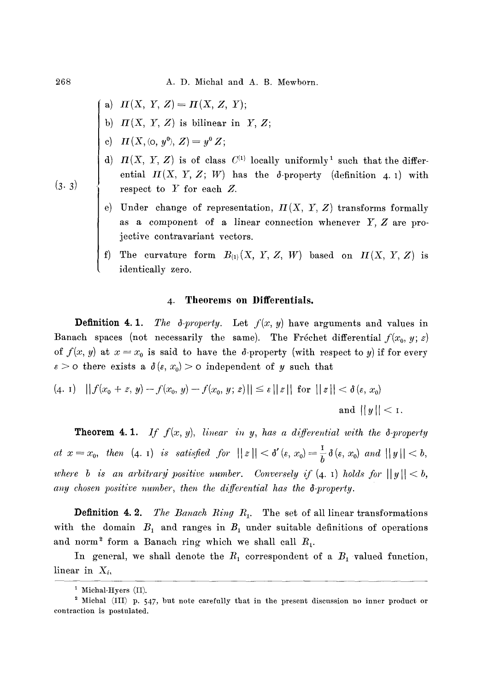a) 
$$
\Pi(X, Y, Z) = \Pi(X, Z, Y);
$$

- b)  $\Pi(X, Y, Z)$  is bilinear in Y, Z;
- c)  $\mathbf{\Pi}(X, (\mathsf{o}, y^0), Z) = y^0 Z;$
- d)  $H(X, Y, Z)$  is of class  $C^{(1)}$  locally uniformly<sup>1</sup> such that the differential  $H(X, Y, Z; W)$  has the  $\delta$ -property (definition 4. 1) with respect to  $Y$  for each  $Z$ .
- e) Under change of representation,  $H(X, Y, Z)$  transforms formally as a component of a linear connection whenever  $Y, Z$  are projective contravariant vectors.
- f) The curvature form  $B_{(1)}(X, Y, Z, W)$  based on  $\Pi(X, Y, Z)$  is identically zero.

### **4. Theorems on Differentials.**

**Definition 4.1.** *The*  $\delta$ *-property.* Let  $f(x, y)$  have arguments and values in Banach spaces (not necessarily the same). The Fréchet differential  $f(x_0, y; z)$ of  $f(x, y)$  at  $x = x_0$  is said to have the  $\delta$ -property (with respect to y) if for every  $\varepsilon > 0$  there exists a  $\delta(\varepsilon, x_0) > 0$  independent of y such that

$$
(4. 1) \quad || f(x_0 + z, y) - f(x_0, y) - f(x_0, y; z)|| \le \varepsilon ||z|| \text{ for } ||z|| < \delta(\varepsilon, x_0)
$$
  
and  $||y|| < 1$ .

**Theorem 4.1.** If  $f(x, y)$ , linear in y, has a differential with the  $\delta$ -property *at*  $x = x_0$ , then (4. 1) *is satisfied for*  $||z|| < \delta'(\epsilon, x_0) = \frac{1}{b} \delta(\epsilon, x_0)$  and  $||y|| < b$ , *where b is an arbitrary positive number. Conversely if*  $(4, 1)$  *holds for*  $||y|| < b$ , *any chosen positive number, then the differential has the 8-property.* 

**Definition 4. 2.** *The Banach Ring R*<sub>1</sub>. The set of all linear transformations with the domain  $B_1$  and ranges in  $B_1$  under suitable definitions of operations and norm<sup>2</sup> form a Banach ring which we shall call  $R_1$ .

In general, we shall denote the  $R_1$  correspondent of a  $B_1$  valued function, linear in *Xi,* 

268

**(3.3)** 

<sup>&</sup>lt;sup>1</sup> Michal-Hyers  $(II)$ .

<sup>2</sup> Michal (III) p. 547, but note carefully that in the present discussion no inner product or contraction is postulated.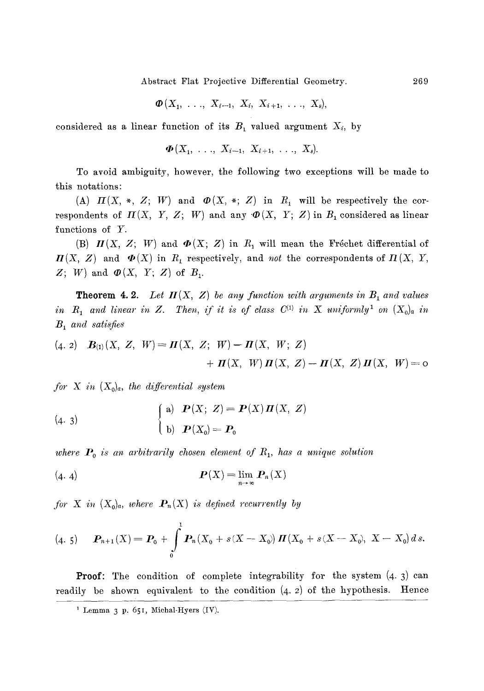Abstract Flat Projective Differential Geometry. 269

$$
\boldsymbol{\Phi}(X_1, \ldots, X_{i-1}, X_i, X_{i+1}, \ldots, X_s),
$$

considered as a linear function of its  $B_1$  valued argument  $X_i$ , by

$$
\mathbf{\Phi}(X_1, \ldots, X_{i-1}, X_{i+1}, \ldots, X_s).
$$

To avoid ambiguity, however, the following two exceptions will be made to this notations:

(A)  $H(X, *, Z; W)$  and  $\Phi(X, *, Z)$  in  $R_1$  will be respectively the correspondents of  $H(X, Y, Z; W)$  and any  $\Phi(X, Y; Z)$  in  $B_1$  considered as linear functions of Y.

(B)  $\mathbf{\Pi}(X, Z; W)$  and  $\mathbf{\Phi}(X; Z)$  in  $R_1$  will mean the Fréchet differential of  $I\!I\!I(X, Z)$  and  $I\!I\!I(X, Y)$  in  $R_1$  respectively, and *not* the correspondents of  $I\!I(X, Y)$ ,  $Z$ ; W) and  $\boldsymbol{\varPhi}(X, Y; Z)$  of  $B_1$ .

**Theorem 4.2.** Let  $H(X, Z)$  be any function with arguments in  $B_1$  and values *in*  $R_1$  and linear in Z. Then, if it is of class  $C^{(1)}$  in X uniformly<sup>1</sup> on  $(X_0)_a$  in *B i and satisfies* 

(4. 2) 
$$
\mathbf{B}_{(1)}(X, Z, W) = \mathbf{\Pi}(X, Z; W) - \mathbf{\Pi}(X, W; Z)
$$
  
+  $\mathbf{\Pi}(X, W) \mathbf{\Pi}(X, Z) - \mathbf{\Pi}(X, Z) \mathbf{\Pi}(X, W) = 0$ 

*for* X in  $(X_0)_a$ , the differential system

(4. 3)  
\n
$$
\begin{cases}\n\text{a) } \mathbf{P}(X; Z) = \mathbf{P}(X) \mathbf{\Pi}(X, Z) \\
\text{b) } \mathbf{P}(X_0) = \mathbf{P}_0\n\end{cases}
$$

where  $P_0$  is an arbitrarily chosen element of  $R_1$ , has a unique solution

$$
(\mathbf{4. 4}) \qquad \qquad \mathbf{P}(X) = \lim_{n \to \infty} \mathbf{P}_n(X)
$$

*for* X in  $(X_0)_a$ , where  $P_n(X)$  is defined recurrently by

(4" 5) ~)n+l (X) = /30 + 1 f P,,, (Xo + scx -- x~) u(xo + s (x - xo), x - Xo) d s. 0

**Proof:** The condition of complete integrability for the system  $(4.3)$  can readily be shown equivalent to the condition  $(4, 2)$  of the hypothesis. Hence

 $1$  Lemma 3 p. 651, Michal-Hyers (IV).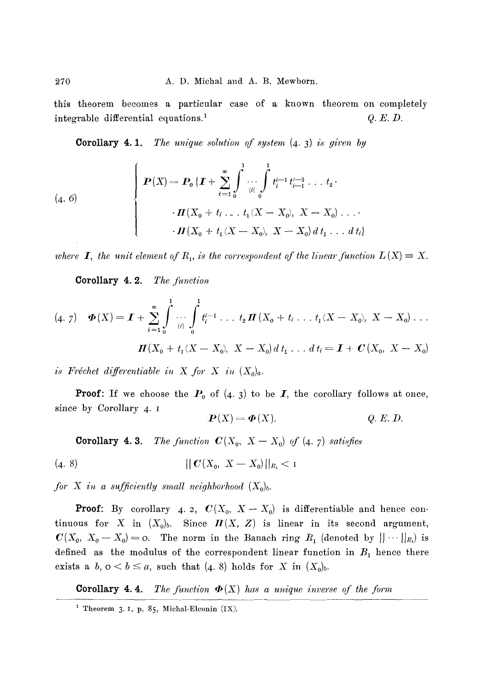this theorem becomes a particular case of a known theorem on completely integrable differential equations.<sup>1</sup>  $Q.E.D.$ 

**Corollary 4.1.** *The unique solution of system* (4.3) *is given by* 

(4. 6)  

$$
\begin{cases}\nP(X) = P_0 \{ \boldsymbol{I} + \sum_{i=1}^{\infty} \int_{i(i)}^{1} \cdots \int_{i(i-1)}^{1} t_{i-1}^{i-2} \cdots t_2 \cdot \\
\cdot \boldsymbol{I}(X_0 + t_i \ldots t_1 (X - X_0), X - X_0) \ldots \\
\cdot \boldsymbol{I}(X_0 + t_1 (X - X_0), X - X_0) \, dt_1 \ldots dt_i\n\end{cases}
$$

where **I**, the unit element of  $R_1$ , is the correspondent of the linear function  $L(X) \equiv X$ .

Corollary 4. 2. *The function* 

$$
(4.7) \quad \Phi(X) = \mathbf{I} + \sum_{i=1}^{\infty} \int_{0}^{1} \cdots \int_{0}^{1} t_i^{i-1} \ldots t_2 \mathbf{\Pi}(X_0 + t_i \ldots t_1(X - X_0), X - X_0) \ldots
$$

$$
\mathbf{\Pi}(X_0 + t_1(X - X_0), X - X_0) d t_1 \ldots d t_i = \mathbf{I} + \mathbf{C}(X_0, X - X_0)
$$

*is Fréchet differentiable in X for X in*  $(X_0)_a$ .

**Proof:** If we choose the  $P_0$  of  $(4. 3)$  to be  $I$ , the corollary follows at once, since by *Corollary 4. I* 

$$
P(X) = \Phi(X).
$$
 Q. E. D.

**Corollary 4.3.** *The function*  $C(X_0, X - X_0)$  of  $(4, 7)$  satisfies

$$
(4. 8) \t\t\t ||C(X_0, X - X_0)||_{R_1} < 1
$$

*for* X in a sufficiently small neighborhood  $(X_0)_b$ .

**Proof:** By corollary 4. 2,  $C(X_0, X-X_0)$  is differentiable and hence continuous for X in  $(X_0)_b$ . Since  $\mathbf{\Pi}(X, Z)$  is linear in its second argument,  $C(X_0, X_0 - X_0) = 0$ . The norm in the Banach ring  $R_1$  (denoted by  $|| \cdots ||_{R_1}$ ) is defined as the modulus of the correspondent linear function in  $B_1$  hence there exists a  $b, o < b \le a$ , such that (4. 8) holds for X in  $(X_0)_b$ .

**Corollary 4.4.** *The function*  $\Phi(X)$  has a unique inverse of the form

<sup>&</sup>lt;sup>1</sup> Theorem 3. I, p. 85, Michal-Elconin  $(IX)$ .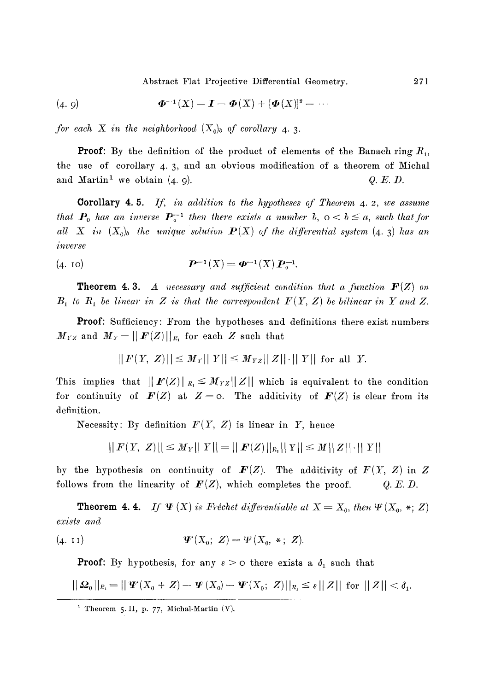Abstract Flat Projective Differential Geometry.

(4. 9) 
$$
\Phi^{-1}(X) = I - \Phi(X) + [\Phi(X)]^2 - \cdots
$$

*for each X in the neighborhood*  $(X_0)_b$  of corollary 4.3.

**Proof:** By the definition of the product of elements of the Banach ring  $R_1$ , the use of corollary 4. 3, and an obvious modification of a theorem of Miehal and Martin<sup>1</sup> we obtain  $(4, 9)$ .  $Q. E. D$ .

Corollary *4. 5. If, in addition to the hypotheses of Theorem 4. 2, we assume that*  $P_0$  has an inverse  $P_0^{-1}$  then there exists a number b,  $0 < b \le a$ , such that for *all X in*  $(X_0)_b$  the unique solution  $P(X)$  of the differential system (4. 3) has an *inverse* 

**(4. IO) P--~ (X) = ~-1 (X)p~-l.** 

**Theorem 4.3.** A necessary and sufficient condition that a function  $F(Z)$  on  $B_1$  to  $R_1$  be linear in Z is that the correspondent  $F(Y, Z)$  be bilinear in Y and Z.

Proof: Sufficiency: From the hypotheses and definitions there exist numbers  $M_{YZ}$  and  $M_Y = ||F(Z)||_{R_1}$  for each Z such that

$$
|| F(Y, Z)|| \le M_Y || Y || \le M_{YZ} || Z || \cdot || Y ||
$$
 for all Y.

This implies that  $\| F(Z) \|_{R_1} \leq M_{YZ} \| Z \|$  which is equivalent to the condition for continuity of  $F(Z)$  at  $Z=0$ . The additivity of  $F(Z)$  is clear from its definition.

Necessity: By definition  $F(Y, Z)$  is linear in Y, hence

$$
|| F(Y, Z)|| \leq M_Y || Y || = || F(Z)||_{R_1} || Y || \leq M || Z || \cdot || Y ||
$$

by the hypothesis on continuity of  $F(Z)$ . The additivity of  $F(Y, Z)$  in Z follows from the linearity of  $F(Z)$ , which completes the proof.  $Q.E.D.$ 

**Theorem 4.4.** If  $\Psi$  (X) is Fréchet differentiable at  $X = X_0$ , then  $\Psi$  ( $X_0$ , \*; Z) *exists and* 

(4. 11) 
$$
\mathbf{\Psi}'(X_0; Z) = \mathbf{\Psi}(X_0, *; Z).
$$

**Proof:** By hypothesis, for any  $\epsilon > 0$  there exists a  $\delta_1$  such that

$$
||\mathbf{\Omega}_0||_{R_1} = ||\mathbf{\Psi}(X_0+Z)-\mathbf{\Psi}(X_0)-\mathbf{\Psi}(X_0;\;Z)||_{R_1} \leq \varepsilon ||\;Z|| \;\,\text{for}\;\, ||\;Z|| < \delta_1.
$$

<sup>&</sup>lt;sup>1</sup> Theorem 5. II, p. 77, Michal-Martin (V).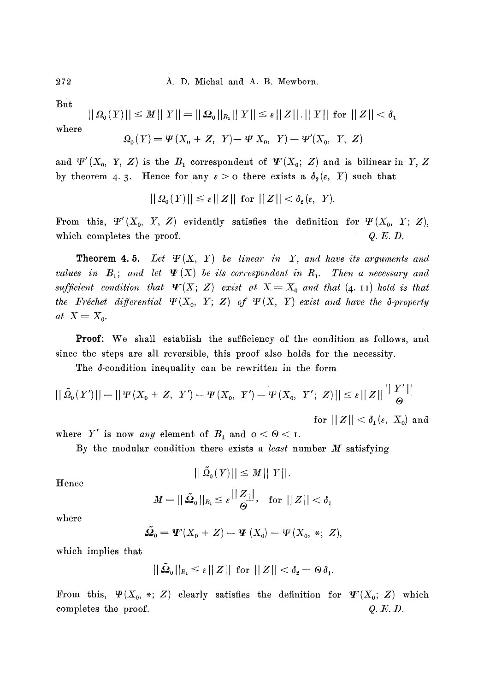**But** 

$$
||\Omega_0(Y)|| \le M ||Y|| = ||\Omega_0||_{R_1} ||Y|| \le \varepsilon ||Z|| \cdot ||Y|| \text{ for } ||Z|| < \delta_1
$$
  
where

 $\Omega_0(Y) = \Psi(X_0 + Z, Y) - \Psi(X_0, Y) - \Psi'(X_0, Y, Z)$ 

and  $\Psi'(X_0, Y, Z)$  is the  $B_1$  correspondent of  $\Psi'(X_0; Z)$  and is bilinear in Y, Z by theorem 4. 3. Hence for any  $\varepsilon > 0$  there exists a  $\delta_2(\varepsilon, Y)$  such that

$$
||\Omega_{0}(Y)|| \leq \varepsilon ||Z|| \text{ for } ||Z|| < \delta_{2}(\varepsilon, Y).
$$

From this,  $\Psi'(X_0, Y, Z)$  evidently satisfies the definition for  $\Psi(X_0, Y; Z)$ , which completes the proof. *Q.E.D.* 

Theorem 4. 5. *Let W(X,* Y) *be linear in Y, and have its arguments and values in*  $B_1$ ; *and let*  $\Psi$  (X) be its correspondent in  $R_1$ . Then a necessary and sufficient condition that  $\Psi(X; Z)$  exist at  $X = X_0$  and that  $(4. 11)$  hold is that *the Fréchet differential*  $\Psi(X_0, Y; Z)$  of  $\Psi(X, Y)$  exist and have the  $\delta$ -property  $at X = X_0.$ 

Proof: We shall establish the sufficiency of the condition as follows, and since the steps are all reversible, this proof also holds for the necessity.

The d-condition inequality can be rewritten in the form

$$
\left|\|\tilde{\varOmega}_{_{\!0}}(Y')\|\right|=\left|\|\Psi(X_{_{\!0}}+Z,\ Y')-\Psi(X_{_{\!0}},\ Y')-\Psi(X_{_{\!0}},\ Y';\ Z)\|\right|\leq\epsilon\|\,Z\|\frac{\|\,Y'\|}{\Theta}}{\rm for}\ \|\,Z\|\leq\delta_1(\epsilon,\ X_{_{\!0}})\,\, {\rm and}
$$

where Y' is now *any* element of  $B_1$  and  $0 < \Theta < 1$ .

By the modular condition there exists a *least* number M satisfying

$$
||\tilde{\Omega}_0(Y)|| \leq M||Y||.
$$

Hence

$$
M = ||\, \tilde{\mathbf{\Omega}}_\text{o}||_{R_\text{i}} \leq \varepsilon \frac{||\,Z\,||}{\Theta}, \ \ \, \text{for} \,\, ||\,Z\,|| < \delta_\text{i}
$$

where

$$
\tilde{\mathfrak{Q}}_0 = \mathbf{\Psi}(X_0 + Z) - \mathbf{\Psi}(X_0) - \mathbf{\Psi}(X_0, *; Z),
$$

which implies that

$$
||\tilde{\mathfrak{Q}}_{0}||_{R_{1}} \leq \varepsilon ||Z|| \text{ for } ||Z|| < \delta_{2} = \Theta \delta_{1}.
$$

From this,  $\Psi(X_0, *, Z)$  clearly satisfies the definition for  $\Psi'(X_0; Z)$  which completes the proof.  $Q.E.D.$ 

272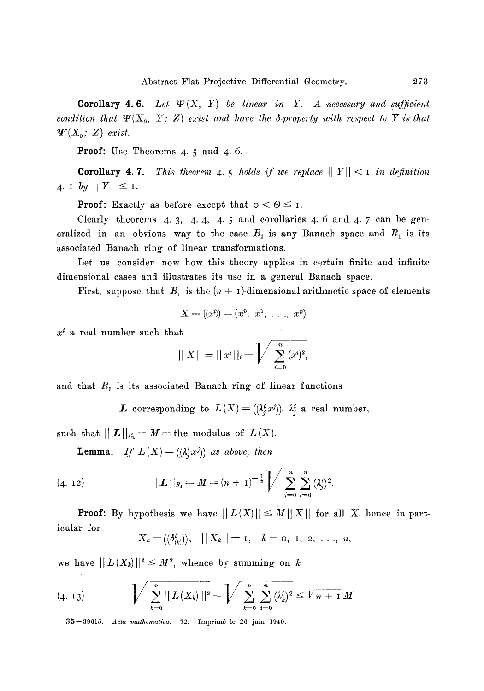**Corollary 4.6.** Let  $\Psi(X, Y)$  be linear in Y. A necessary and sufficient *condition that*  $\Psi(X_0, Y; Z)$  *exist and have the*  $\delta$ *-property with respect to Y is that*  $\mathbf{\Psi}(X_0; Z)$  exist.

**Proof:** Use Theorems **4. 5 and 4. 6.** 

**Corollary 4.7.** *This theorem 4.5 holds if we replace*  $||Y|| < 1$  in definition 4. **I** by  $|||Y|| \leq I$ .

**Proof:** Exactly as before except that  $0 < \Theta \leq I$ .

Clearly theorems  $4.3, 4.4, 4.5$  and corollaries  $4.6$  and  $4.7$  can be generalized in an obvious way to the case  $B_1$  is any Banach space and  $R_1$  is its associated Banach ring of linear transformations.

Let us consider now how this theory applies in certain finite and infinite dimensional cases and illustrates its use in a general Banach space.

First, suppose that  $B_1$  is the  $(n + 1)$ -dimensional arithmetic space of elements

$$
X = (x^i) = (x^0, x^1, \ldots, x^n)
$$

 $x^i$  a real number such that

$$
||X|| = ||x^{i}||_{i} = \bigg/ \sum_{i=0}^{n} (x^{i})^{2},
$$

and that  $R_1$  is its associated Banach ring of linear functions

L corresponding to  $L(X) = ((\lambda_i^i x^j)), \lambda_i^i$  a real number,

such that  $||L||_{R_1} = M$  = the modulus of  $L(X)$ .

**Lemma.** If  $L(X) = (\lambda_i^i x^j)$  as above, then

(4. 12) 
$$
|| \mathbf{L} ||_{R_1} = M = (n+1)^{-\frac{1}{2}} \sqrt{\sum_{j=0}^{n} \sum_{i=0}^{n} (\lambda_j^i)^2}.
$$

**Proof:** By hypothesis we have  $|| L(X) || \leq M || X ||$  for all X, hence in particular for

$$
X_k = ((\delta_{(k)}^i)), \quad ||X_k|| = 1, \quad k = 0, 1, 2, \ldots, n,
$$

we have  $|| L(X_k)||^2 \leq M^2$ , whence by summing on k

$$
(4. 13) \quad \int \sum_{k=0}^{n} || L(X_k) ||^2 = \int \sum_{k=0}^{n} \sum_{i=0}^{n} (\lambda_k^i)^2 \leq \sqrt{n+1} M.
$$

35--39615. *Acta mathematica.* 72. Imprim6 le 26 juin 1940.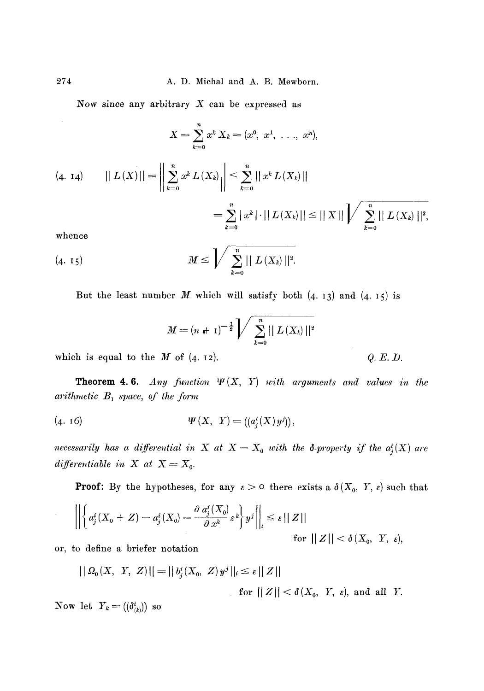Now since any arbitrary  $X$  can be expressed as

$$
X = \sum_{k=0}^{n} x^{k} X_{k} = (x^{0}, x^{1}, \ldots, x^{n}),
$$
  
(4. 14) 
$$
|| L(X) || = \left\| \sum_{k=0}^{n} x^{k} L(X_{k}) \right\| \leq \sum_{k=0}^{n} || x^{k} L(X_{k}) ||
$$

$$
= \sum_{k=0}^{n} | x^{k} | \cdot || L(X_{k}) || \leq || X || \sqrt{\sum_{k=0}^{n} || L(X_{k}) ||^{2}},
$$
whence

whence

(4. 15) 
$$
M \leq \int \sum_{k=0}^{n} || L(X_k) ||^2.
$$

But the least number  $M$  which will satisfy both  $(4. 13)$  and  $(4. 15)$  is

$$
M = (n + 1)^{-\frac{1}{2}} \bigg/ \sum_{k=0}^{n} || L(X_k) ||^2
$$

which is equal to the  $M$  of  $(4. 12)$ .  $Q.E.D.$ 

**Theorem 4.6.** *Any function*  $\Psi(X, Y)$  *with arguments and values in the arithmetic*  $B_1$  *space, of the form* 

(4. 16)  $\Psi(X, Y) = ((a_i^i(X)y^j)),$ 

*necessarily has a differential in* X at  $X = X_0$  with the 8-property if the  $a_j^i(X)$  are  $differential be in X at X = X_0.$ 

**Proof:** By the hypotheses, for any  $\varepsilon > 0$  there exists a  $\delta(X_0, Y, \varepsilon)$  such that

$$
\left\| \left\{ a_j^i(X_0+Z) - a_j^i(X_0) - \frac{\partial a_j^i(X_0)}{\partial x^k} z^k \right\} y^j \right\|_i \leq \varepsilon ||Z||
$$
  
for  $||Z|| < \delta(X_0, Y, \varepsilon)$ ,

or, to define a briefer notation

$$
|| \Omega_0(X, Y, Z)|| = ||b_j^i(X_0, Z)y^j||_i \le \varepsilon ||Z||
$$
  
for  $||Z|| < \delta(X_0, Y, \varepsilon)$ , and all Y.

Now let  $Y_k = ((\delta^i_{(k)})$  so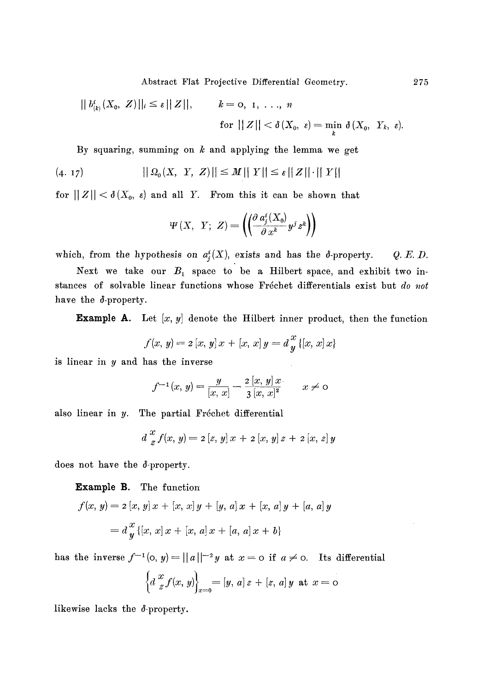Abstract Flat Projective Differential Geometry. 275

$$
||b_{(k)}^{i}(X_{0}, Z)||_{i} \leq \varepsilon ||Z||, \qquad k = 0, 1, ..., n
$$
  
for  $||Z|| < \delta(X_{0}, \varepsilon) = \min_{k} \delta(X_{0}, Y_{k}, \varepsilon).$ 

By squaring, summing on  $k$  and applying the lemma we get

$$
(4. 17) \t\t ||\Omega_0(X, Y, Z)|| \leq M||Y|| \leq \varepsilon ||Z|| \cdot ||Y||
$$

for  $||Z|| < \delta(X_0, \varepsilon)$  and all Y. From this it can be shown that

$$
\Psi\left(X,\ Y;\ Z\right) = \left( \left( \frac{\partial a_j^i(X_0)}{\partial x^k} y^j z^k \right) \right)
$$

which, from the hypothesis on  $a^i_j(X)$ , exists and has the  $\delta$ -property. Q.E.D.

Next we take our  $B_1$  space to be a Hilbert space, and exhibit two instances of solvable linear functions whose Fréchet differentials exist but *do not* have the  $\delta$ -property.

**Example A.** Let  $[x, y]$  denote the Hilbert inner product, then the function

$$
f(x, y) = 2 [x, y] x + [x, x] y = d \frac{x}{y} \{ [x, x] x \}
$$

is linear in y and has the inverse

$$
f^{-1}(x, y) = \frac{y}{[x, x]} - \frac{2 [x, y] x}{3 [x, x]^2} \qquad x \neq 0
$$

also linear in  $y$ . The partial Fréchet differential

$$
d\, \frac{x}{z} f(x, y) = 2 [z, y] \, x + 2 [x, y] \, z + 2 [x, z] \, y
$$

does not have the d-property.

**Example B.** The function

$$
f(x, y) = 2 [x, y] x + [x, x] y + [y, a] x + [x, a] y + [a, a] y
$$
  
=  $d \frac{x}{y} \{ [x, x] x + [x, a] x + [a, a] x + b \}$ 

has the inverse  $f^{-1}(0, y)=||a||^{-2}y$  at  $x=0$  if  $a \neq 0$ . Its differential

$$
\left\{ d \, \frac{x}{z} f(x, y) \right\}_{x=0} = [y, a] \, z + [z, a] \, y \text{ at } x = 0
$$

likewise lacks the d-property.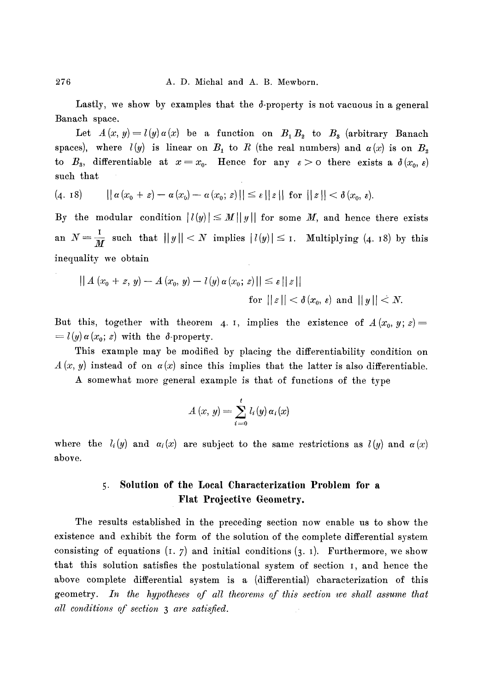Lastly, we show by examples that the  $\delta$ -property is not vacuous in a general Banach space.

Let  $A(x, y) = l(y) a(x)$  be a function on  $B_1 B_2$  to  $B_3$  (arbitrary Banach spaces), where  $l(y)$  is linear on  $B_1$  to R (the real numbers) and  $\alpha(x)$  is on  $B_2$ to  $B_3$ , differentiable at  $x=x_0$ . Hence for any  $\varepsilon > 0$  there exists a  $\delta(x_0, \varepsilon)$ such that

$$
(4. 18) \qquad || \alpha (x_0 + z) - \alpha (x_0) - \alpha (x_0; z)|| \le \varepsilon || z || \text{ for } || z || < \delta (x_0, \varepsilon).
$$

By the modular condition  $|l(y)| \leq M||y||$  for some M, and hence there exists an  $N = \frac{1}{M}$  such that  $||y|| < N$  implies  $|l(y)| \leq 1$ . Multiplying (4. 18) by this inequality we obtain

$$
|| A (x_0 + z, y) - A (x_0, y) - l(y) \alpha (x_0; z) || \le \varepsilon ||z||
$$
  
for  $||z|| < \delta(x_0, \varepsilon)$  and  $||y|| < N$ .

But this, together with theorem 4. I, implies the existence of  $A(x_0, y; z)$  $= l(y) \alpha(x_0; z)$  with the  $\delta$ -property.

This example may be modified by placing the differentiability condition on  $A(x, y)$  instead of on  $a(x)$  since this implies that the latter is also differentiable.

A somewhat more general example is that of functions of the type

$$
A(x, y) = \sum_{i=0}^{t} l_i(y) \alpha_i(x)
$$

where the  $l_i(y)$  and  $\alpha_i(x)$  are subject to the same restrictions as  $l(y)$  and  $\alpha(x)$ above.

## 5. Solution of the Local Characterization Problem for a Flat Projective Geometry.

The results established in the preceding section now enable us to show the existence and exhibit the form of the solution of the complete differential system consisting of equations  $(1, 7)$  and initial conditions  $(3, 1)$ . Furthermore, we show that this solution satisfies the postulational system of section I, and hence the above complete differential system is a (differential) characterization of this geometry. *In the hypotheses of all theorems of this section we shall assume that all eouditions of section 3 are satisfied.*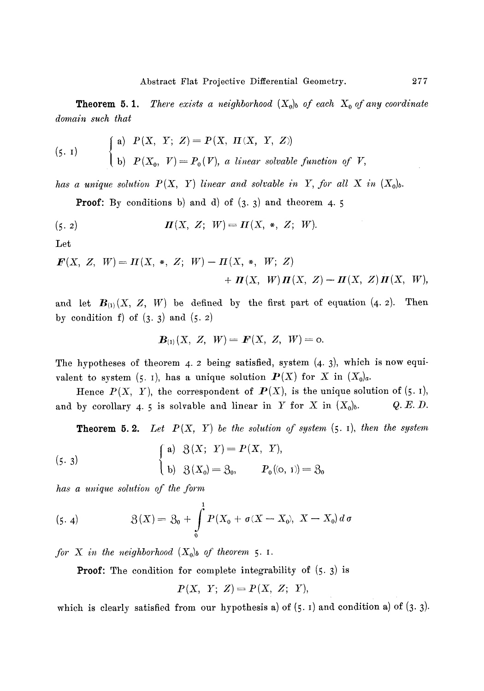**Theorem 5.1.** *There exists a neighborhood*  $(X_0)$  of each  $X_0$  of any coordinate *domain such that* 

$$
\begin{array}{lll} \text{(5. 1)} & \left\{ \begin{array}{ll} \text{a)} & P(X, \ Y; \ Z) = P(X, \ \textit{II}(X, \ Y, \ Z)) \\ \text{b)} & P(X_0, \ V) = P_0(V), \ a \ linear \ solvable \ function \ of \ V, \end{array} \right. \end{array}
$$

has a unique solution  $P(X, Y)$  linear and solvable in Y, for all X in  $(X_0)_b$ .

**Proof:** By conditions b) and d) of  $(3, 3)$  and theorem 4. 5

(5. 2) 
$$
\mathbf{\Pi}(X, Z; W) = \mathbf{\Pi}(X, *, Z; W).
$$

*Let* 

$$
F(X, Z, W) = H(X, *, Z; W) - H(X, *, W; Z) + H(X, W)H(X, Z) - H(X, Z)H(X, W),
$$

and let  $B_{(1)}(X, Z, W)$  be defined by the first part of equation  $(4, 2)$ . Then **by condition f) of (3. 3) and (5. 2)** 

$$
\boldsymbol{B}_{(1)}(X, Z, W) = \boldsymbol{F}(X, Z, W) = 0.
$$

The hypotheses of theorem 4. 2 being satisfied, system  $(4, 3)$ , which is now equivalent to system  $(5. 1)$ , has a unique solution  $P(X)$  for X in  $(X_0)_a$ .

Hence  $P(X, Y)$ , the correspondent of  $P(X)$ , is the unique solution of (5. 1), and by corollary 4. 5 is solvable and linear in Y for X in  $(X_0)_b$ . Q. E. D.

**Theorem 5.2.** Let  $P(X, Y)$  be the solution of system  $(5. 1)$ , then the system

(5. 3)  

$$
\begin{cases}\n\text{a)} & \mathcal{B}(X; Y) = P(X, Y), \\
\text{b)} & \mathcal{B}(X_0) = \mathcal{B}_0, \qquad P_0(\text{o}, 1) = \mathcal{B}_0\n\end{cases}
$$

*has a unique solution of the form* 

(5.4) 
$$
3(X) = 3_0 + \int_{0}^{1} P(X_0 + \sigma(X - X_0), X - X_0) d\sigma
$$

*for*  $X$  *in the neighborhood*  $(X_0)_b$  *of theorem* 5. I.

**Proof:** The condition for complete integrability of  $(5.3)$  is

$$
P(X, Y; Z) = P(X, Z; Y),
$$

which is clearly satisfied from our hypothesis a) of  $(5. 1)$  and condition a) of  $(3. 3)$ .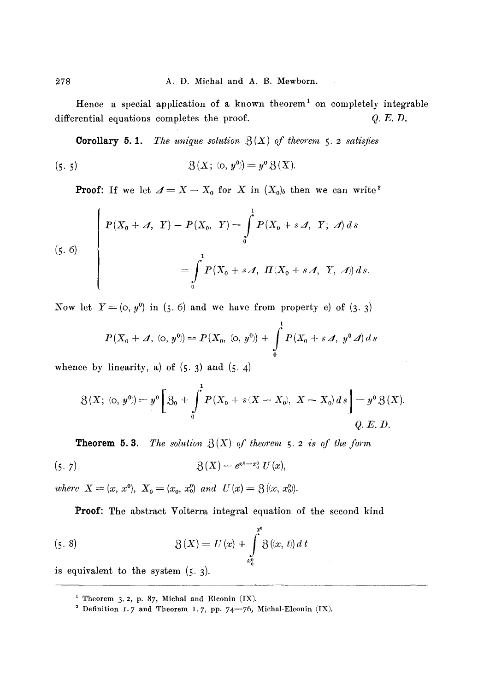Hence a special application of a known theorem<sup>1</sup> on completely integrable differential equations completes the proof.  $Q.E.D.$ 

**Corollary 5.1.** *The unique solution*  $\mathcal{B}(X)$  *of theorem* 5. 2 satisfies

(5. 5) 
$$
\mathfrak{Z}(X; \omega, y^0) = y^0 \mathfrak{Z}(X).
$$

**Proof:** If we let  $\mathcal{A} = X - X_0$  for X in  $(X_0)_b$  then we can write<sup>2</sup>

(5. 6)  

$$
\begin{cases}\nP(X_0 + \mathcal{A}, Y) - P(X_0, Y) = \int_0^1 P(X_0 + s \mathcal{A}, Y; \mathcal{A}) ds \\
= \int_0^1 P(X_0 + s \mathcal{A}, \Pi(X_0 + s \mathcal{A}, Y, \mathcal{A})) ds.\n\end{cases}
$$

Now let  $Y = (0, y^0)$  in (5.6) and we have from property c) of (3.3)

$$
P(X_0 + \mathcal{A}, (0, y^0)) = P(X_0, (0, y^0)) + \int_0^1 P(X_0 + s \mathcal{A}, y^0 \mathcal{A}) ds
$$

whence by linearity, a) of  $(5.3)$  and  $(5.4)$ 

$$
\mathfrak{Z}(X; \; (\text{o},\; y^0) = y^0 \bigg[ \; \mathfrak{Z}_0 \; + \; \int_0^1 P(X_0 + s(X - X_0), \; X - X_0) \, ds \; \bigg] = y^0 \, \mathfrak{Z}(X).
$$
\nQ. E. D.

**Theorem 5.3.** *The solution*  $\mathcal{B}(X)$  *of theorem 5. 2 is of the form* 

(5. 7) 
$$
\mathfrak{Z}(X) = e^{x^0 - x_0^0} U(x),
$$

*where*  $X = (x, x^0)$ ,  $X_0 = (x_0, x_0^0)$  and  $U(x) = \mathfrak{Z}(x, x_0^0)$ .

Proof: The abstract Volterra integral equation of the second kind

(5. 8) 
$$
\mathfrak{Z}(X) = U(x) + \int_{x_0^0}^{x^0} \mathfrak{Z}(x, t) dt
$$

is equivalent to the system (5. 3).

<sup>&</sup>lt;sup>1</sup> Theorem 3.2, p. 87, Michal and Elconin  $(IX)$ .

<sup>&</sup>lt;sup>2</sup> Definition 1.7 and Theorem 1.7, pp. 74-76, Michal-Elconin (IX).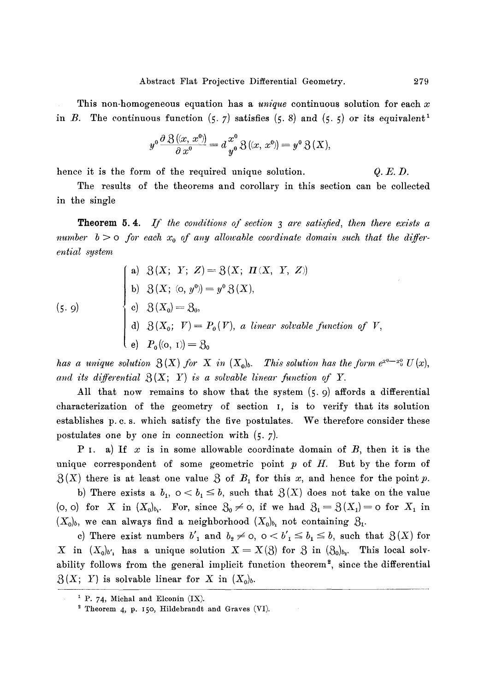This non-homogeneous equation has a *unique* continuous solution for each x in B. The continuous function  $(5, 7)$  satisfies  $(5, 8)$  and  $(5, 5)$  or its equivalent<sup>1</sup>

$$
y^{0} \frac{\partial \mathcal{B}(x, x^{0})}{\partial x^{0}} = d \frac{x^{0}}{y^{0}} \mathcal{B}(x, x^{0}) = y^{0} \mathcal{B}(X),
$$

hence it is the form of the required unique solution.  $Q.E.D.$ 

The results of the theorems and corollary in this section can be collected in the single

**Theorem 5.4.** If the conditions of section 3 are satisfied, then there exists a *number*  $b > o$  for each  $x_0$  of any allowable coordinate domain such that the differ*ential system* 

(5. 9)  
\n(a) 
$$
\beta(X; Y; Z) = \beta(X; \Pi(X, Y, Z))
$$
  
\nb)  $\beta(X; (0, y^0)) = y^0 \beta(X),$   
\nc)  $\beta(X_0) = \beta_0,$   
\nd)  $\beta(X_0; V) = P_0(V),$  a linear solvable function of V,  
\ne)  $P_0((0, 1)) = \beta_0$ 

has a unique solution  $\mathfrak{Z}(X)$  for X in  $(X_0)_b$ . This solution has the form  $e^{x0-x_0} U(x)$ , and its differential  $\mathcal{B}(X; Y)$  is a solvable linear function of Y.

All that now remains to show that the system  $(5, 9)$  affords a differential characterization of the geometry of section I, is to verify that its solution establishes p. c. s. which satisfy the five postulates. We therefore consider these postulates one by one in connection with (5. 7).

P I. a) If x is in some allowable coordinate domain of  $B$ , then it is the unique correspondent of some geometric point  $p$  of  $H$ . But by the form of  $\mathcal{B}(X)$  there is at least one value  $\mathcal{B}$  of  $B_1$  for this x, and hence for the point p.

b) There exists a  $b_1$ ,  $0 < b_1 \leq b$ , such that  $\mathcal{B}(X)$  does not take on the value (o, o) for X in  $(X_0)_{b_1}$ . For, since  $S_0 \neq \infty$ , if we had  $S_1 = \mathcal{S}(X_1) = \infty$  for  $X_1$  in  $(X_0)_b$ , we can always find a neighborhood  $(X_0)_{b_1}$  not containing  $\mathfrak{H}_1$ .

c) There exist numbers  $b'_1$  and  $b_2 \neq 0$ ,  $0 < b'_1 \leq b_1 \leq b$ , such that  $\mathfrak{Z}(X)$  for X in  $(X_0)_{b'_1}$  has a unique solution  $X = X(3)$  for 3 in  $(3_0)_{b_2}$ . This local solvability follows from the general implicit function theorem<sup>2</sup>, since the differential  $\mathfrak{L}(X; Y)$  is solvable linear for X in  $(X_0)_b$ .

*i p. 74,* **Miehal and Eleonin (IX).** 

<sup>&</sup>lt;sup>2</sup> Theorem 4, p. 150, Hildebrandt and Graves (VI).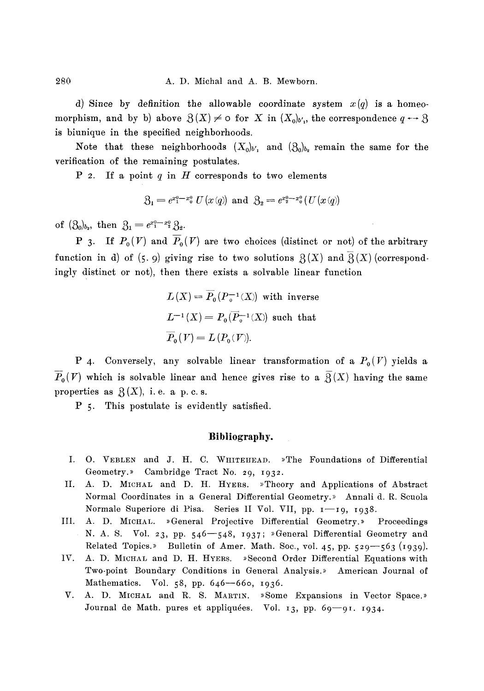d) Since by definition the allowable coordinate system  $x(q)$  is a homeomorphism, and by b) above  $\mathfrak{Z}(X) \neq o$  for X in  $(X_0)_{b_1}$ , the correspondence  $q \rightarrow \mathfrak{Z}$ is biunique in the specified neighborhoods.

Note that these neighborhoods  $(X_0)_{b'_1}$  and  $(\mathfrak{Z}_0)_{b_2}$  remain the same for the verification of the remaining postulates.

P 2. If a point  $q$  in  $H$  corresponds to two elements

$$
\mathcal{B}_1 = e^{x_1^0 - x_0^0} U(x(q))
$$
 and  $\mathcal{B}_2 = e^{x_2^0 - x_0^0} (U(x(q)))$ 

of  $(\mathfrak{Z}_0)_{b_2}$ , then  $\mathfrak{Z}_1 = e^{x_1^0 - x_2^0} \mathfrak{Z}_2$ .

**P** 3. If  $P_0(V)$  and  $\overline{P}_0(V)$  are two choices (distinct or not) of the arbitrary function in d) of (5.9) giving rise to two solutions  $\mathcal{B}(X)$  and  $\mathcal{B}(X)$  (correspondingly distinct or not), then there exists a solvable linear function

$$
L(X) = \overline{P}_0(P_0^{-1}(X))
$$
 with inverse  

$$
L^{-1}(X) = P_0(\overline{P}_0^{-1}(X))
$$
 such that  

$$
\overline{P}_0(V) = L(P_0(V)).
$$

P 4. Conversely, any solvable linear transformation of a  $P_0(V)$  yields a  $\overline{P}_{0}(V)$  which is solvable linear and hence gives rise to a  $\overline{\mathfrak{Z}}(X)$  having the same properties as  $\mathcal{B}(X)$ , i.e. a p. c. s.

P 5. This postulate is evidently satisfied.

## **Bibliography.**

- I. O. VEBLEN and J. H. C. WHITEHEAD. »The Foundations of Differential Geometry.>> Cambridge Tract No. 29, I932.
- II. A. D. MICHAL and D. H. HYERS. »Theory and Applications of Abstract Normal Coordinates in a General Differential Geometry.» Annali d. R. Scuola Normale Superiore di Pisa. Series II Vol. VII, pp. 1-19, 1938.
- IIl. A. D. MICHAL. ~General Projective Differential Geometry.>> Proceedings N. A. S. Vol. 23, pp.  $546 - 548$ ,  $1937$ ; »General Differential Geometry and Related Topics.» Bulletin of Amer. Math. Soc., vol. 45, pp. 529-563 (1939).
- IV. A. D. MICHAL and D. H. HYERS. »Second Order Differential Equations with Two-point Boundary Conditions in General Analysis.» American Journal of Mathematics. Vol.  $58$ , pp.  $646 - 660$ ,  $1936$ .
- V. A. D. MICHAL and R. S. MARTIN. »Some Expansions in Vector Space.» Journal de Math. pures et appliquées. Vol. 13, pp. 69-91. 1934.